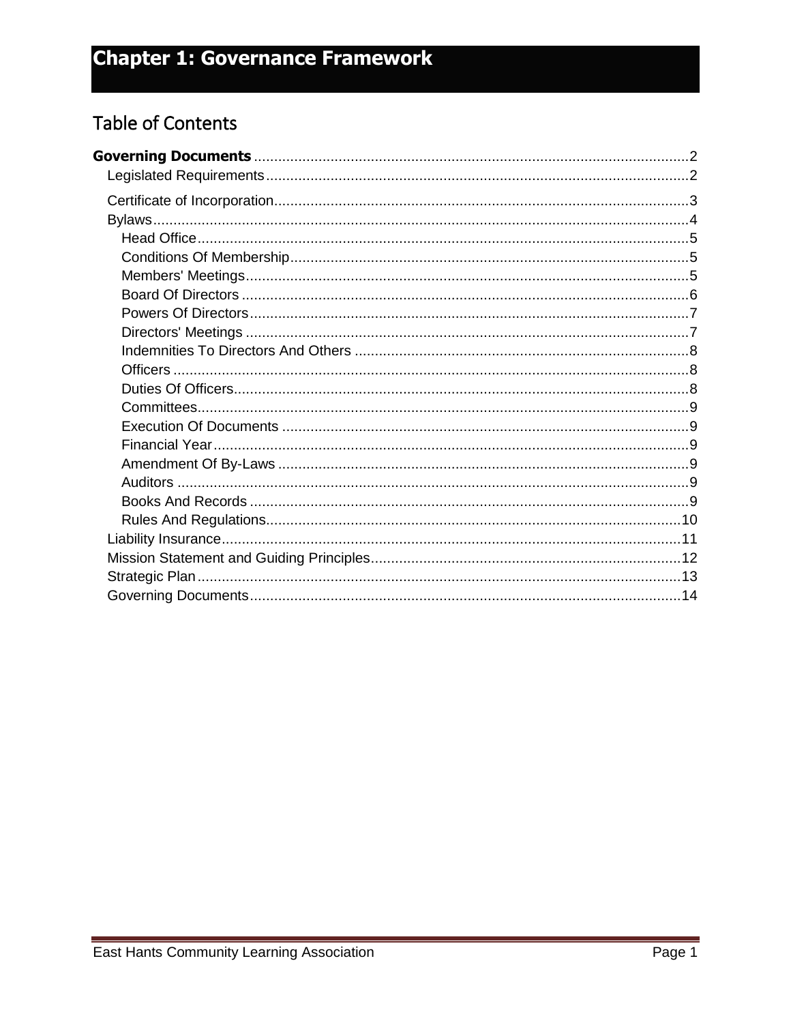## **Table of Contents**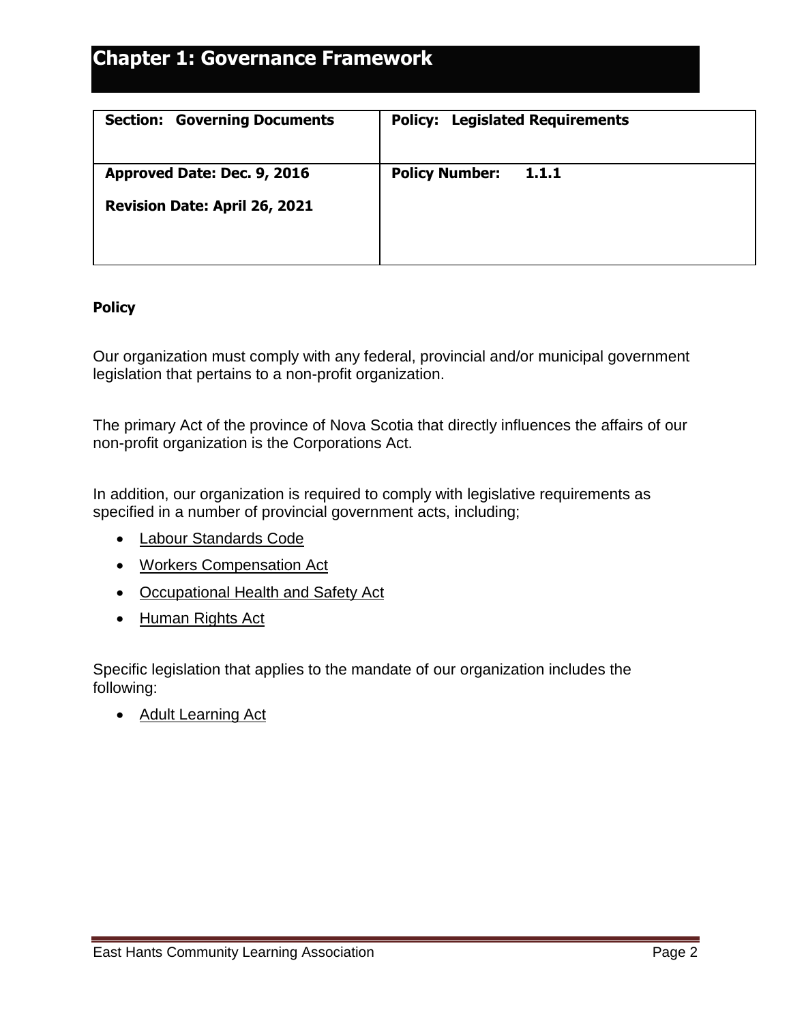<span id="page-1-1"></span><span id="page-1-0"></span>

| <b>Section: Governing Documents</b>  | <b>Policy: Legislated Requirements</b> |
|--------------------------------------|----------------------------------------|
| Approved Date: Dec. 9, 2016          | <b>Policy Number:</b>                  |
| <b>Revision Date: April 26, 2021</b> | 1.1.1                                  |

### **Policy**

Our organization must comply with any federal, provincial and/or municipal government legislation that pertains to a non-profit organization.

The primary Act of the province of Nova Scotia that directly influences the affairs of our non-profit organization is the Corporations Act.

In addition, our organization is required to comply with legislative requirements as specified in a number of provincial government acts, including;

- [Labour Standards Code](file:///C:/Users/learn/OneDrive/Desktop/POLICIES%20AND%20PROCEDURES/LabourStandardsCodeGuide.pdf)
- [Workers Compensation Act](https://www.wcb.ns.ca/About-Us/Legislation-Workers-Compensation-Act.aspx)
- [Occupational Health and Safety Act](https://www.novascotia.ca/just/regulations/rxam-z.htm#ohs)
- [Human Rights Act](https://nslegislature.ca/legc/statutes/human%20rights.pdf)

Specific legislation that applies to the mandate of our organization includes the following:

• [Adult Learning Act](https://www.novascotia.ca/just/regulations/regs/adlearn.htm)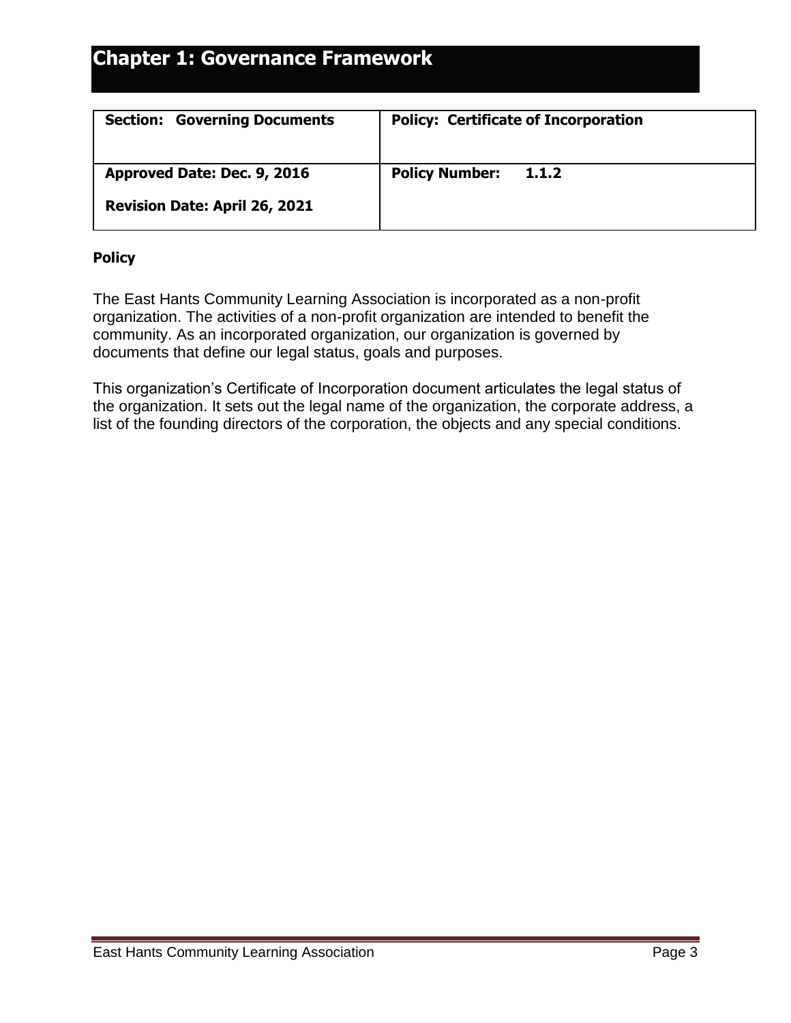<span id="page-2-0"></span>

| <b>Section: Governing Documents</b>  | <b>Policy: Certificate of Incorporation</b> |
|--------------------------------------|---------------------------------------------|
| Approved Date: Dec. 9, 2016          | <b>Policy Number:</b><br>1.1.2              |
| <b>Revision Date: April 26, 2021</b> |                                             |

### **Policy**

The East Hants Community Learning Association is incorporated as a non-profit organization. The activities of a non-profit organization are intended to benefit the community. As an incorporated organization, our organization is governed by documents that define our legal status, goals and purposes.

This organization's Certificate of Incorporation document articulates the legal status of the organization. It sets out the legal name of the organization, the corporate address, a list of the founding directors of the corporation, the objects and any special conditions.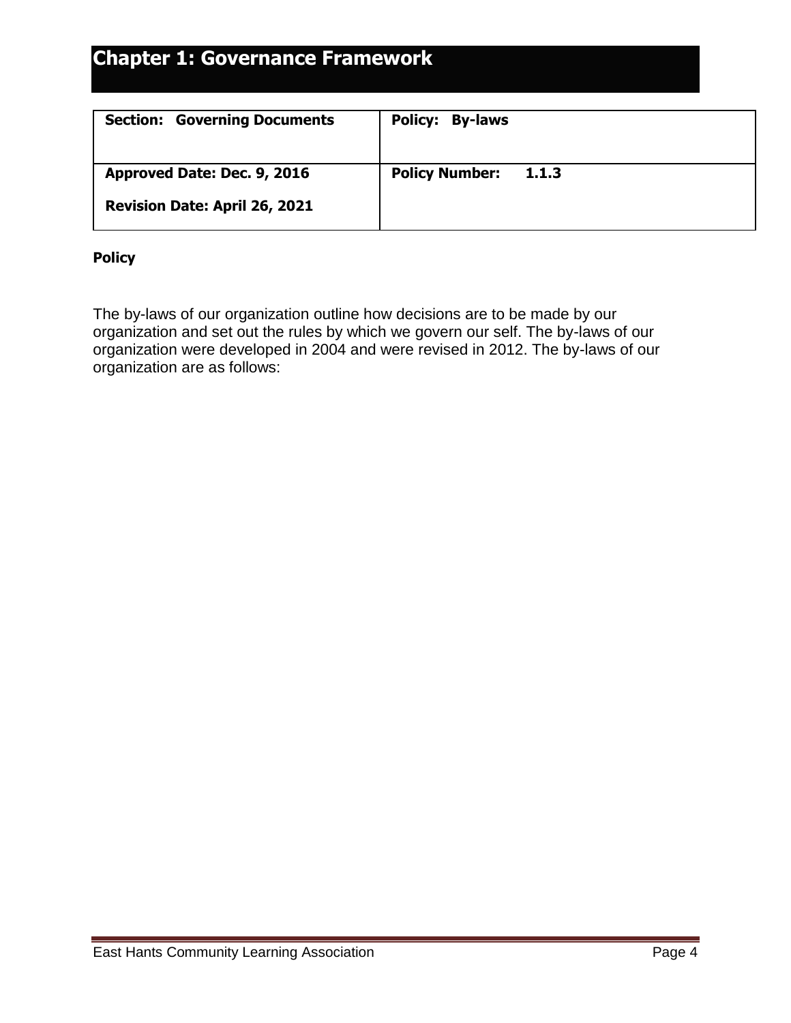<span id="page-3-0"></span>

| <b>Section: Governing Documents</b>                                 | <b>Policy: By-laws</b>         |
|---------------------------------------------------------------------|--------------------------------|
| Approved Date: Dec. 9, 2016<br><b>Revision Date: April 26, 2021</b> | <b>Policy Number:</b><br>1.1.3 |
|                                                                     |                                |

### **Policy**

The by-laws of our organization outline how decisions are to be made by our organization and set out the rules by which we govern our self. The by-laws of our organization were developed in 2004 and were revised in 2012. The by-laws of our organization are as follows: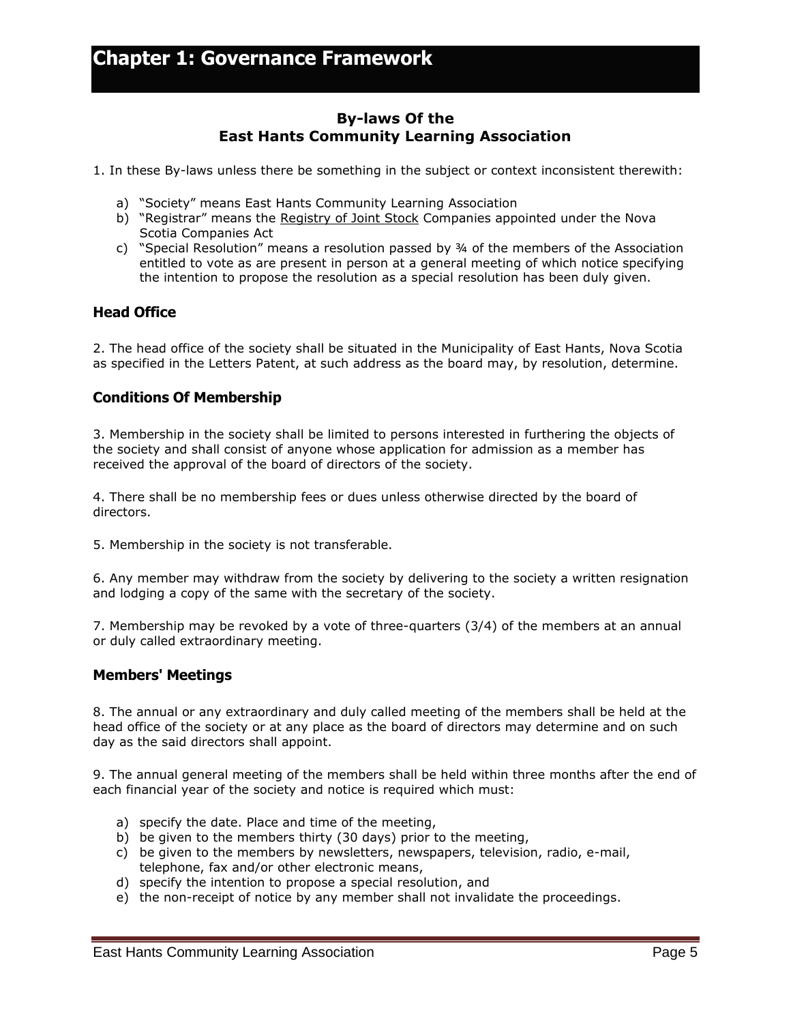### **By-laws Of the East Hants Community Learning Association**

- 1. In these By-laws unless there be something in the subject or context inconsistent therewith:
	- a) "Society" means East Hants Community Learning Association
	- b) "Registrar" means the [Registry of Joint Stock](https://novascotia.ca/sns/access/business/registry-joint-stock-companies.asp) Companies appointed under the Nova Scotia Companies Act
	- c) "Special Resolution" means a resolution passed by  $\frac{3}{4}$  of the members of the Association entitled to vote as are present in person at a general meeting of which notice specifying the intention to propose the resolution as a special resolution has been duly given.

#### <span id="page-4-0"></span>**Head Office**

2. The head office of the society shall be situated in the Municipality of East Hants, Nova Scotia as specified in the Letters Patent, at such address as the board may, by resolution, determine.

### <span id="page-4-1"></span>**Conditions Of Membership**

3. Membership in the society shall be limited to persons interested in furthering the objects of the society and shall consist of anyone whose application for admission as a member has received the approval of the board of directors of the society.

4. There shall be no membership fees or dues unless otherwise directed by the board of directors.

5. Membership in the society is not transferable.

6. Any member may withdraw from the society by delivering to the society a written resignation and lodging a copy of the same with the secretary of the society.

7. Membership may be revoked by a vote of three-quarters (3/4) of the members at an annual or duly called extraordinary meeting.

#### <span id="page-4-2"></span>**Members' Meetings**

8. The annual or any extraordinary and duly called meeting of the members shall be held at the head office of the society or at any place as the board of directors may determine and on such day as the said directors shall appoint.

9. The annual general meeting of the members shall be held within three months after the end of each financial year of the society and notice is required which must:

- a) specify the date. Place and time of the meeting,
- b) be given to the members thirty (30 days) prior to the meeting,
- c) be given to the members by newsletters, newspapers, television, radio, e-mail, telephone, fax and/or other electronic means,
- d) specify the intention to propose a special resolution, and
- e) the non-receipt of notice by any member shall not invalidate the proceedings.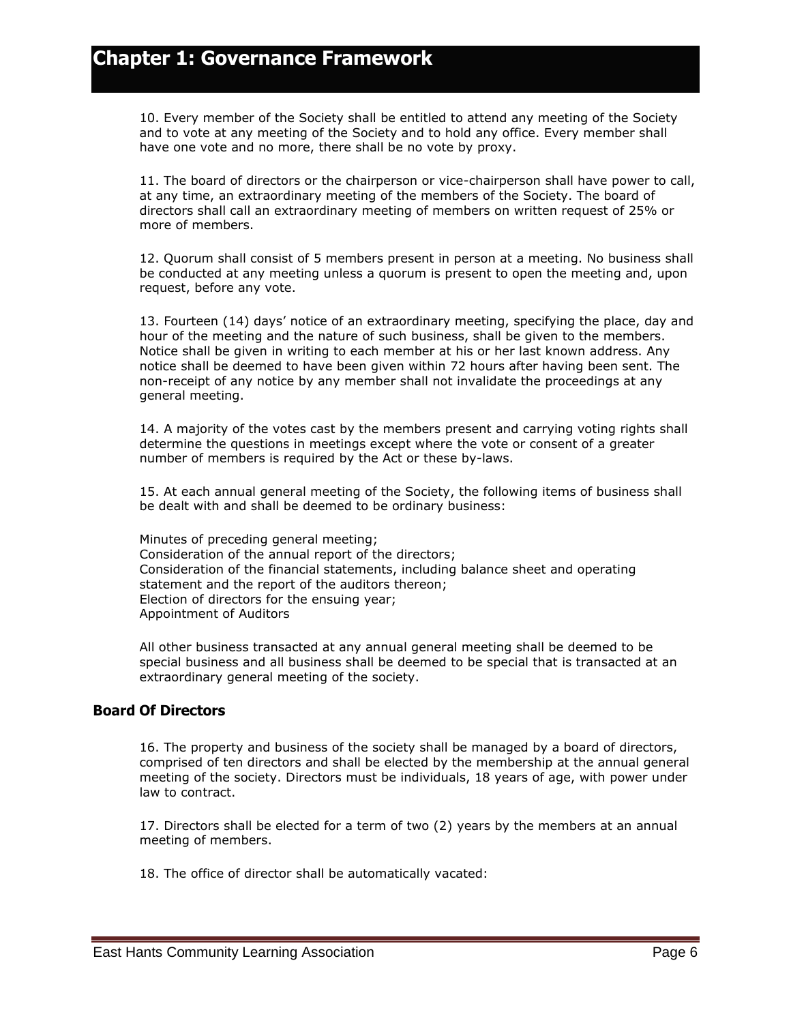10. Every member of the Society shall be entitled to attend any meeting of the Society and to vote at any meeting of the Society and to hold any office. Every member shall have one vote and no more, there shall be no vote by proxy.

11. The board of directors or the chairperson or vice-chairperson shall have power to call, at any time, an extraordinary meeting of the members of the Society. The board of directors shall call an extraordinary meeting of members on written request of 25% or more of members.

12. Quorum shall consist of 5 members present in person at a meeting. No business shall be conducted at any meeting unless a quorum is present to open the meeting and, upon request, before any vote.

13. Fourteen (14) days' notice of an extraordinary meeting, specifying the place, day and hour of the meeting and the nature of such business, shall be given to the members. Notice shall be given in writing to each member at his or her last known address. Any notice shall be deemed to have been given within 72 hours after having been sent. The non-receipt of any notice by any member shall not invalidate the proceedings at any general meeting.

14. A majority of the votes cast by the members present and carrying voting rights shall determine the questions in meetings except where the vote or consent of a greater number of members is required by the Act or these by-laws.

15. At each annual general meeting of the Society, the following items of business shall be dealt with and shall be deemed to be ordinary business:

Minutes of preceding general meeting; Consideration of the annual report of the directors; Consideration of the financial statements, including balance sheet and operating statement and the report of the auditors thereon; Election of directors for the ensuing year; Appointment of Auditors

All other business transacted at any annual general meeting shall be deemed to be special business and all business shall be deemed to be special that is transacted at an extraordinary general meeting of the society.

#### <span id="page-5-0"></span>**Board Of Directors**

16. The property and business of the society shall be managed by a board of directors, comprised of ten directors and shall be elected by the membership at the annual general meeting of the society. Directors must be individuals, 18 years of age, with power under law to contract.

17. Directors shall be elected for a term of two (2) years by the members at an annual meeting of members.

18. The office of director shall be automatically vacated: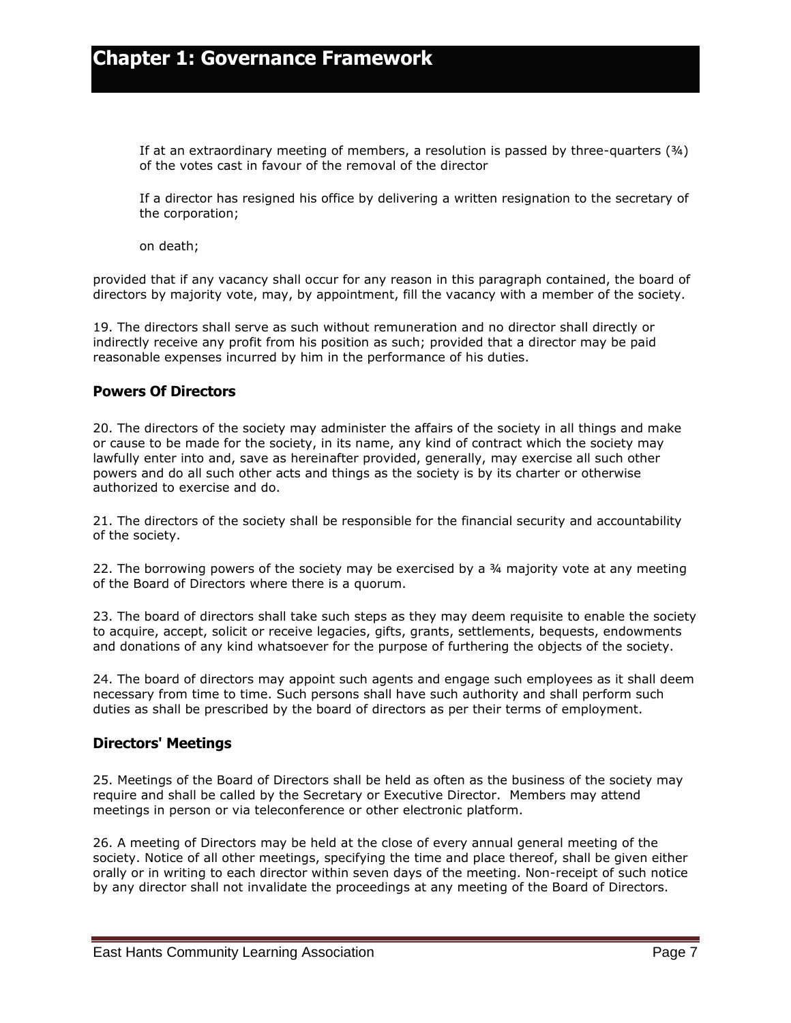If at an extraordinary meeting of members, a resolution is passed by three-quarters  $(34)$ of the votes cast in favour of the removal of the director

If a director has resigned his office by delivering a written resignation to the secretary of the corporation;

on death;

provided that if any vacancy shall occur for any reason in this paragraph contained, the board of directors by majority vote, may, by appointment, fill the vacancy with a member of the society.

19. The directors shall serve as such without remuneration and no director shall directly or indirectly receive any profit from his position as such; provided that a director may be paid reasonable expenses incurred by him in the performance of his duties.

#### <span id="page-6-0"></span>**Powers Of Directors**

20. The directors of the society may administer the affairs of the society in all things and make or cause to be made for the society, in its name, any kind of contract which the society may lawfully enter into and, save as hereinafter provided, generally, may exercise all such other powers and do all such other acts and things as the society is by its charter or otherwise authorized to exercise and do.

21. The directors of the society shall be responsible for the financial security and accountability of the society.

22. The borrowing powers of the society may be exercised by a ¾ majority vote at any meeting of the Board of Directors where there is a quorum.

23. The board of directors shall take such steps as they may deem requisite to enable the society to acquire, accept, solicit or receive legacies, gifts, grants, settlements, bequests, endowments and donations of any kind whatsoever for the purpose of furthering the objects of the society.

24. The board of directors may appoint such agents and engage such employees as it shall deem necessary from time to time. Such persons shall have such authority and shall perform such duties as shall be prescribed by the board of directors as per their terms of employment.

#### <span id="page-6-1"></span>**Directors' Meetings**

25. Meetings of the Board of Directors shall be held as often as the business of the society may require and shall be called by the Secretary or Executive Director. Members may attend meetings in person or via teleconference or other electronic platform.

26. A meeting of Directors may be held at the close of every annual general meeting of the society. Notice of all other meetings, specifying the time and place thereof, shall be given either orally or in writing to each director within seven days of the meeting. Non-receipt of such notice by any director shall not invalidate the proceedings at any meeting of the Board of Directors.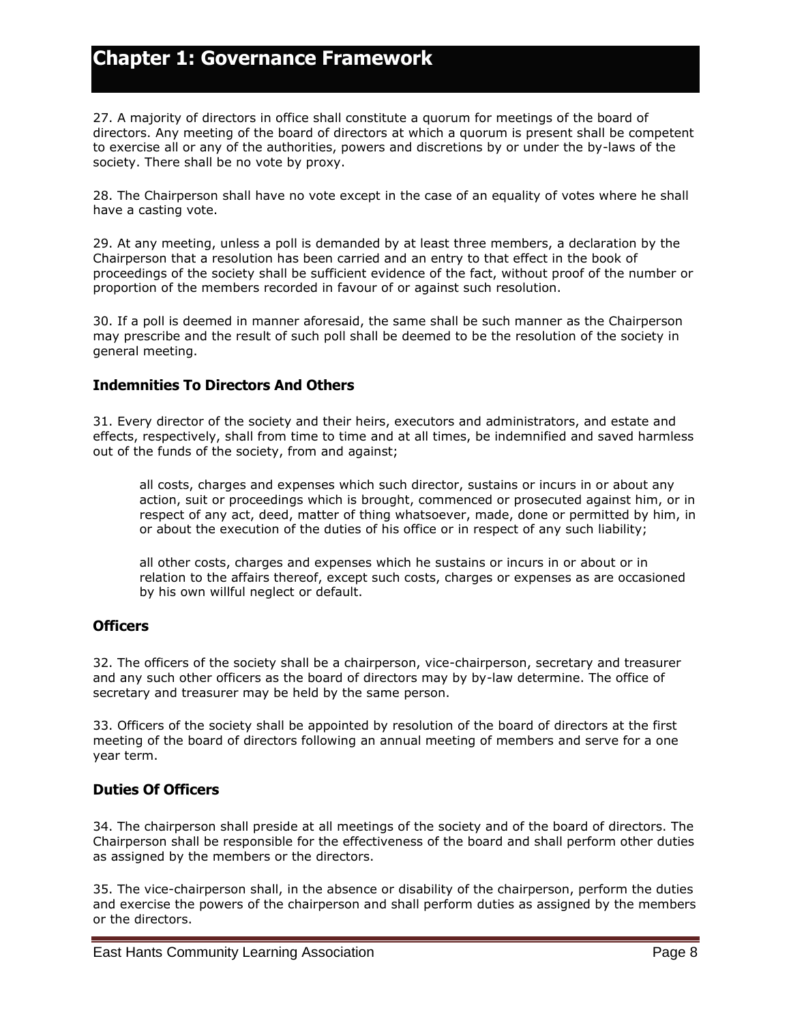27. A majority of directors in office shall constitute a quorum for meetings of the board of directors. Any meeting of the board of directors at which a quorum is present shall be competent to exercise all or any of the authorities, powers and discretions by or under the by-laws of the society. There shall be no vote by proxy.

28. The Chairperson shall have no vote except in the case of an equality of votes where he shall have a casting vote.

29. At any meeting, unless a poll is demanded by at least three members, a declaration by the Chairperson that a resolution has been carried and an entry to that effect in the book of proceedings of the society shall be sufficient evidence of the fact, without proof of the number or proportion of the members recorded in favour of or against such resolution.

30. If a poll is deemed in manner aforesaid, the same shall be such manner as the Chairperson may prescribe and the result of such poll shall be deemed to be the resolution of the society in general meeting.

#### <span id="page-7-0"></span>**Indemnities To Directors And Others**

31. Every director of the society and their heirs, executors and administrators, and estate and effects, respectively, shall from time to time and at all times, be indemnified and saved harmless out of the funds of the society, from and against;

all costs, charges and expenses which such director, sustains or incurs in or about any action, suit or proceedings which is brought, commenced or prosecuted against him, or in respect of any act, deed, matter of thing whatsoever, made, done or permitted by him, in or about the execution of the duties of his office or in respect of any such liability;

all other costs, charges and expenses which he sustains or incurs in or about or in relation to the affairs thereof, except such costs, charges or expenses as are occasioned by his own willful neglect or default.

#### <span id="page-7-1"></span>**Officers**

32. The officers of the society shall be a chairperson, vice-chairperson, secretary and treasurer and any such other officers as the board of directors may by by-law determine. The office of secretary and treasurer may be held by the same person.

33. Officers of the society shall be appointed by resolution of the board of directors at the first meeting of the board of directors following an annual meeting of members and serve for a one year term.

#### <span id="page-7-2"></span>**Duties Of Officers**

34. The chairperson shall preside at all meetings of the society and of the board of directors. The Chairperson shall be responsible for the effectiveness of the board and shall perform other duties as assigned by the members or the directors.

35. The vice-chairperson shall, in the absence or disability of the chairperson, perform the duties and exercise the powers of the chairperson and shall perform duties as assigned by the members or the directors.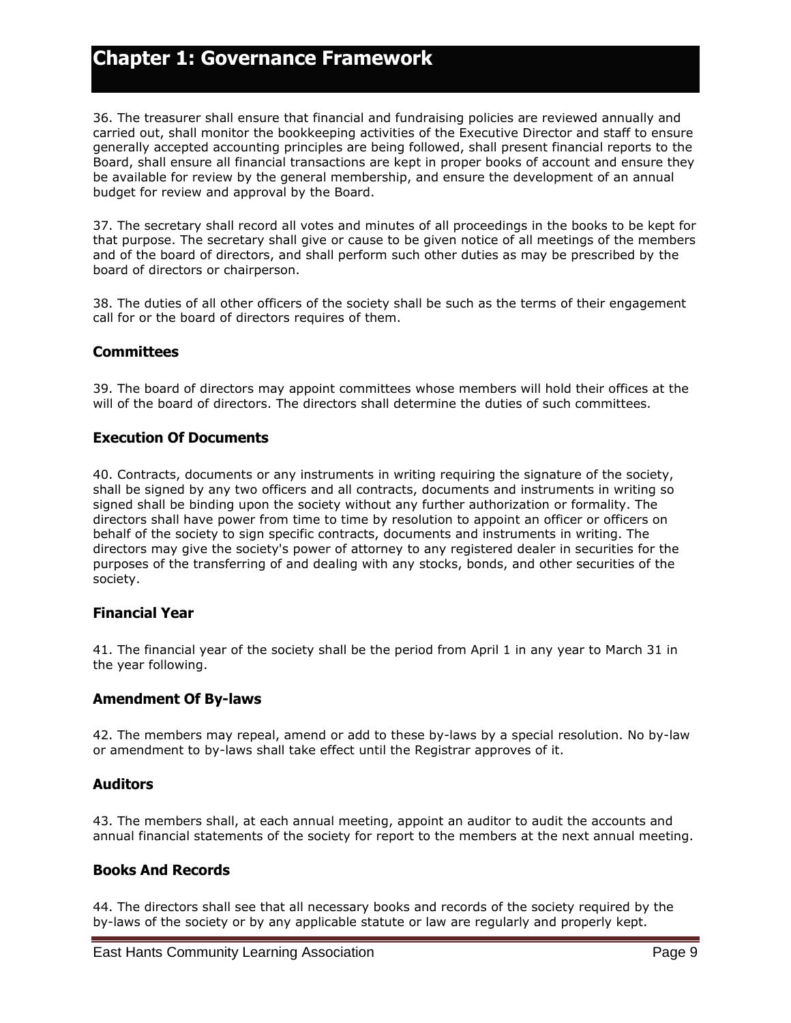36. The treasurer shall ensure that financial and fundraising policies are reviewed annually and carried out, shall monitor the bookkeeping activities of the Executive Director and staff to ensure generally accepted accounting principles are being followed, shall present financial reports to the Board, shall ensure all financial transactions are kept in proper books of account and ensure they be available for review by the general membership, and ensure the development of an annual budget for review and approval by the Board.

37. The secretary shall record all votes and minutes of all proceedings in the books to be kept for that purpose. The secretary shall give or cause to be given notice of all meetings of the members and of the board of directors, and shall perform such other duties as may be prescribed by the board of directors or chairperson.

38. The duties of all other officers of the society shall be such as the terms of their engagement call for or the board of directors requires of them.

#### <span id="page-8-0"></span>**Committees**

39. The board of directors may appoint committees whose members will hold their offices at the will of the board of directors. The directors shall determine the duties of such committees.

#### <span id="page-8-1"></span>**Execution Of Documents**

40. Contracts, documents or any instruments in writing requiring the signature of the society, shall be signed by any two officers and all contracts, documents and instruments in writing so signed shall be binding upon the society without any further authorization or formality. The directors shall have power from time to time by resolution to appoint an officer or officers on behalf of the society to sign specific contracts, documents and instruments in writing. The directors may give the society's power of attorney to any registered dealer in securities for the purposes of the transferring of and dealing with any stocks, bonds, and other securities of the society.

#### <span id="page-8-2"></span>**Financial Year**

41. The financial year of the society shall be the period from April 1 in any year to March 31 in the year following.

#### <span id="page-8-3"></span>**Amendment Of By-laws**

42. The members may repeal, amend or add to these by-laws by a special resolution. No by-law or amendment to by-laws shall take effect until the Registrar approves of it.

#### <span id="page-8-4"></span>**Auditors**

43. The members shall, at each annual meeting, appoint an auditor to audit the accounts and annual financial statements of the society for report to the members at the next annual meeting.

#### <span id="page-8-5"></span>**Books And Records**

44. The directors shall see that all necessary books and records of the society required by the by-laws of the society or by any applicable statute or law are regularly and properly kept.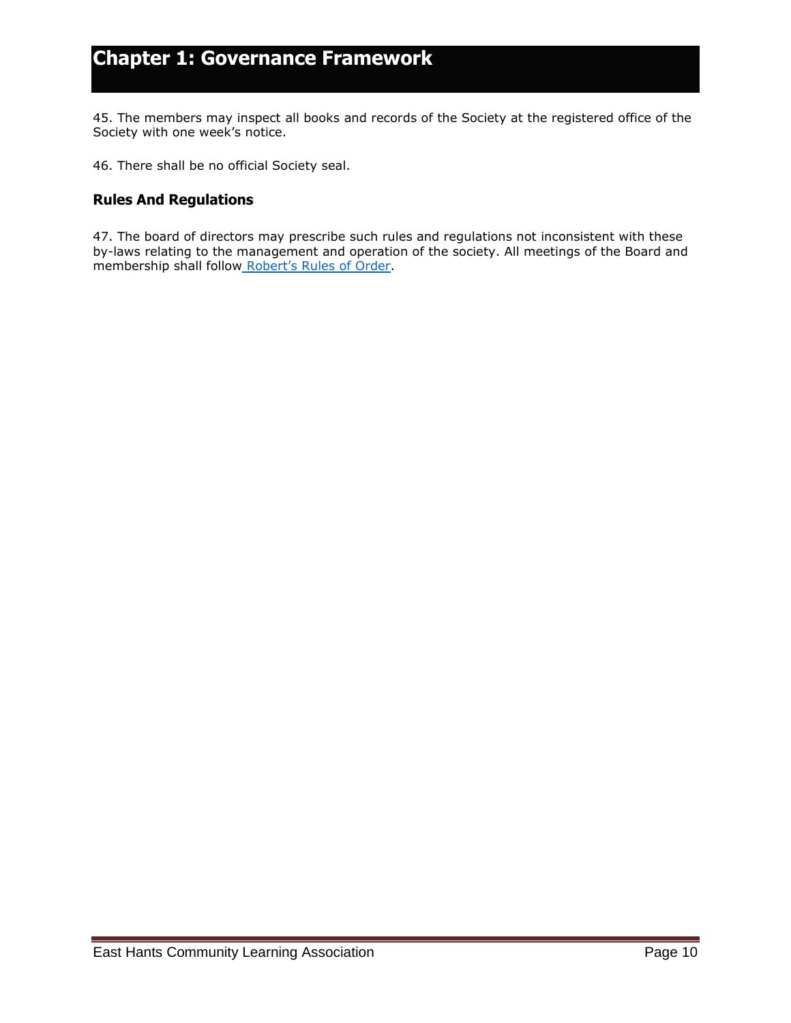45. The members may inspect all books and records of the Society at the registered office of the Society with one week's notice.

46. There shall be no official Society seal.

### <span id="page-9-0"></span>**Rules And Regulations**

47. The board of directors may prescribe such rules and regulations not inconsistent with these by-laws relating to the management and operation of the society. All meetings of the Board and membership shall follow [Robert's Rule](https://robertsrules.org/)s of Order.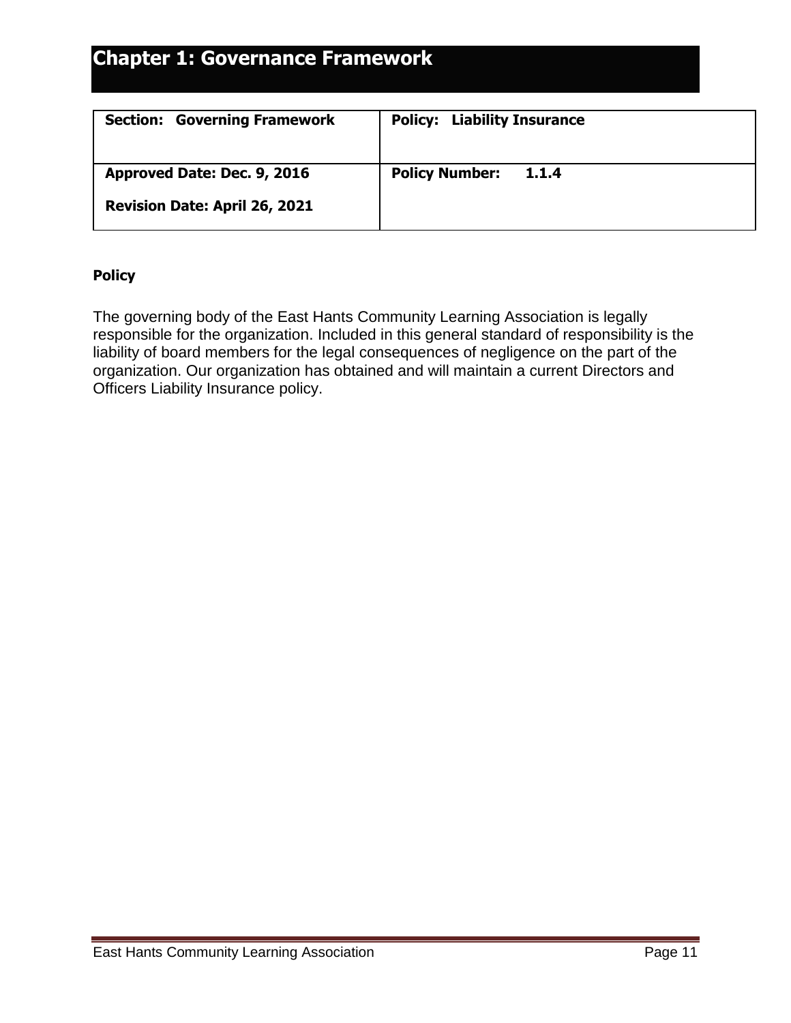<span id="page-10-0"></span>

| <b>Section: Governing Framework</b>  | <b>Policy: Liability Insurance</b> |
|--------------------------------------|------------------------------------|
| Approved Date: Dec. 9, 2016          | <b>Policy Number:</b>              |
| <b>Revision Date: April 26, 2021</b> | 1.1.4                              |

### **Policy**

The governing body of the East Hants Community Learning Association is legally responsible for the organization. Included in this general standard of responsibility is the liability of board members for the legal consequences of negligence on the part of the organization. Our organization has obtained and will maintain a current Directors and Officers Liability Insurance policy.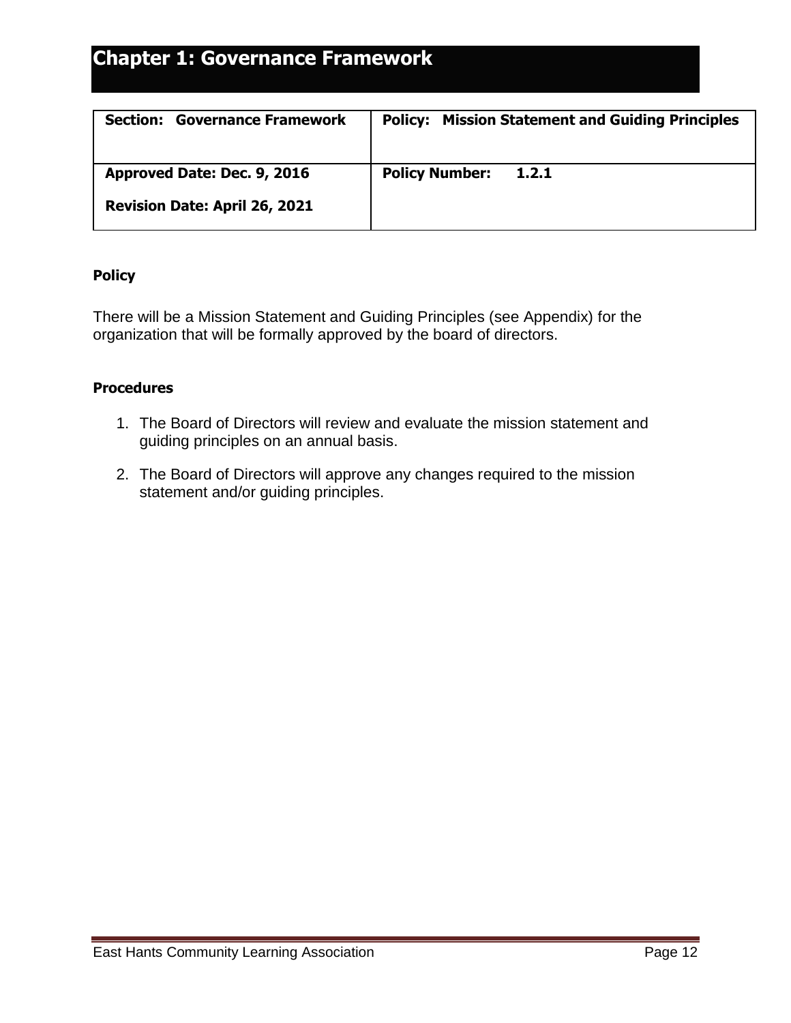<span id="page-11-0"></span>

| <b>Governance Framework</b><br><b>Section:</b>                      | <b>Policy: Mission Statement and Guiding Principles</b> |
|---------------------------------------------------------------------|---------------------------------------------------------|
| Approved Date: Dec. 9, 2016<br><b>Revision Date: April 26, 2021</b> | <b>Policy Number:</b><br>1.2.1                          |
|                                                                     |                                                         |

### **Policy**

There will be a Mission Statement and Guiding Principles (see Appendix) for the organization that will be formally approved by the board of directors.

### **Procedures**

- 1. The Board of Directors will review and evaluate the mission statement and guiding principles on an annual basis.
- 2. The Board of Directors will approve any changes required to the mission statement and/or guiding principles.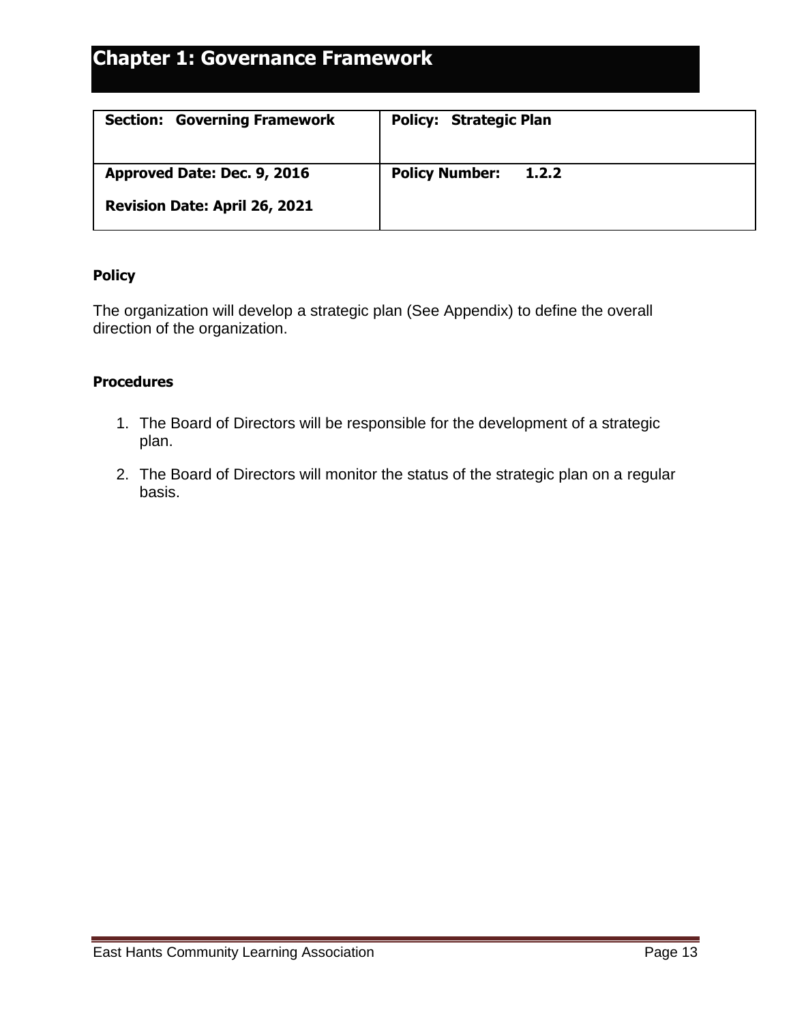<span id="page-12-0"></span>

| <b>Section: Governing Framework</b>  | <b>Policy: Strategic Plan</b>  |
|--------------------------------------|--------------------------------|
| Approved Date: Dec. 9, 2016          | <b>Policy Number:</b><br>1.2.2 |
| <b>Revision Date: April 26, 2021</b> |                                |

### **Policy**

The organization will develop a strategic plan (See Appendix) to define the overall direction of the organization.

### **Procedures**

- 1. The Board of Directors will be responsible for the development of a strategic plan.
- 2. The Board of Directors will monitor the status of the strategic plan on a regular basis.